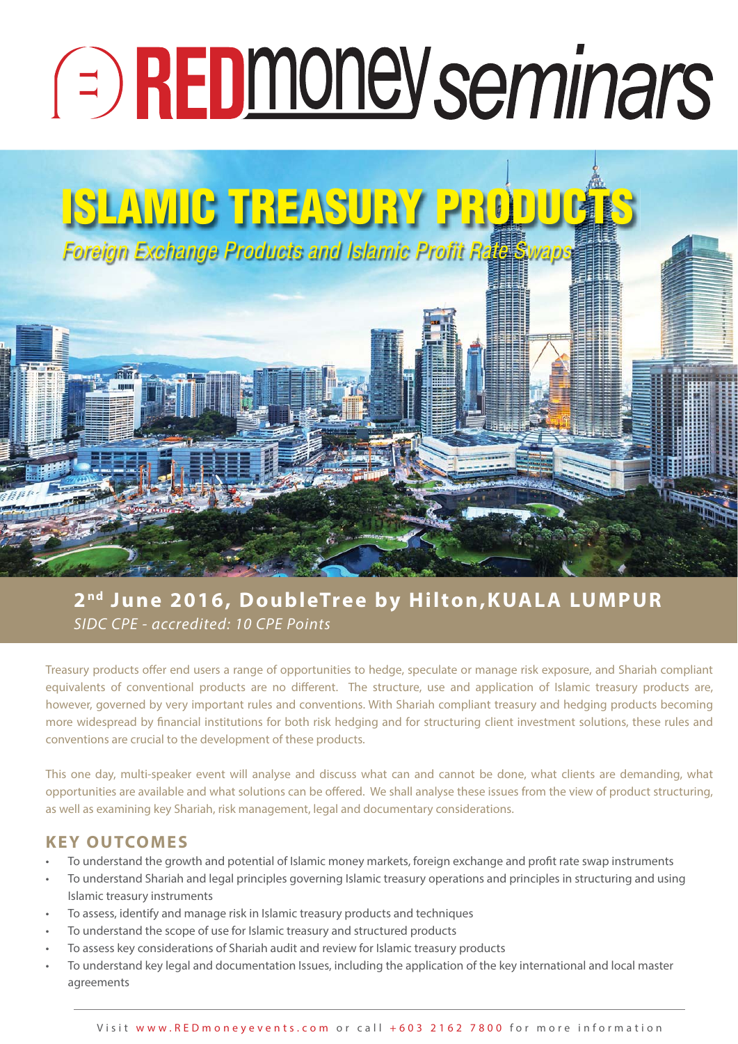# **E** REDmoney seminars

## **ISLAMIC TREASURY PRODUCTS**

Foreign Exchange Products and Islamic Profit Rate Swaps

### **2 nd June 2016, DoubleTree by Hilton,KUALA LUMPUR** SIDC CPE - accredited: 10 CPE Points

Treasury products offer end users a range of opportunities to hedge, speculate or manage risk exposure, and Shariah compliant equivalents of conventional products are no different. The structure, use and application of Islamic treasury products are, however, governed by very important rules and conventions. With Shariah compliant treasury and hedging products becoming more widespread by financial institutions for both risk hedging and for structuring client investment solutions, these rules and conventions are crucial to the development of these products.

This one day, multi-speaker event will analyse and discuss what can and cannot be done, what clients are demanding, what opportunities are available and what solutions can be offered. We shall analyse these issues from the view of product structuring, as well as examining key Shariah, risk management, legal and documentary considerations.

#### **KEY OUTCOMES**

- To understand the growth and potential of Islamic money markets, foreign exchange and profit rate swap instruments
- To understand Shariah and legal principles governing Islamic treasury operations and principles in structuring and using Islamic treasury instruments
- To assess, identify and manage risk in Islamic treasury products and techniques
- To understand the scope of use for Islamic treasury and structured products
- To assess key considerations of Shariah audit and review for Islamic treasury products
- To understand key legal and documentation Issues, including the application of the key international and local master agreements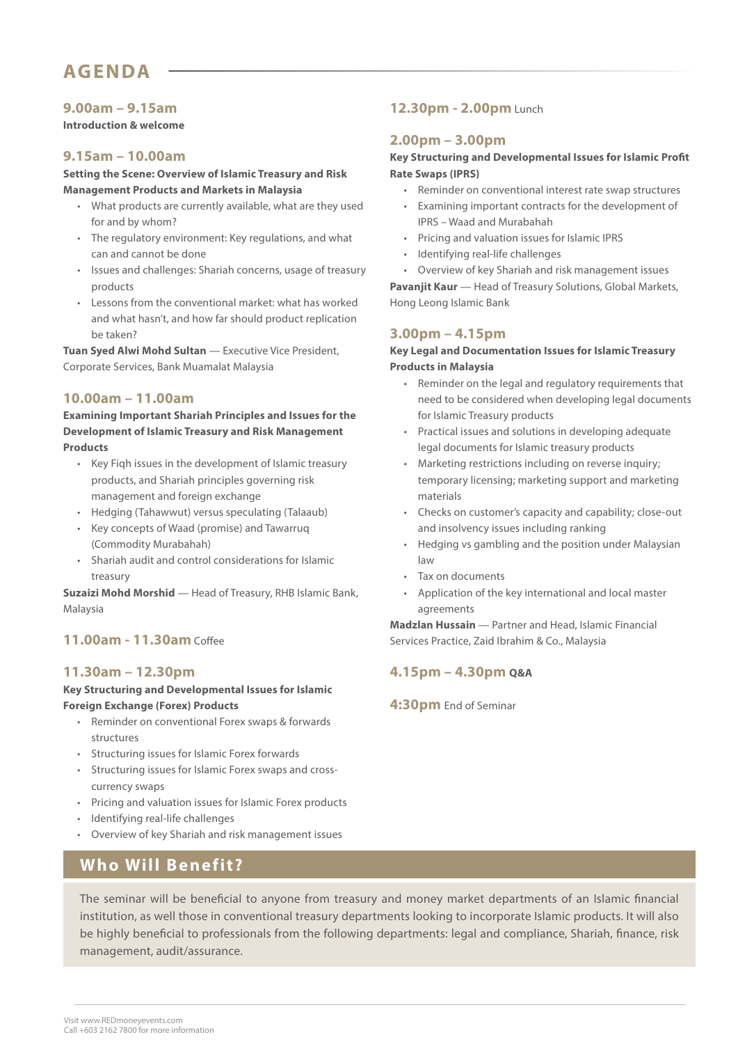#### **9.00am – 9.15am**

**Introduction & welcome**

#### **9.15am – 10.00am**

**Setting the Scene: Overview of Islamic Treasury and Risk Management Products and Markets in Malaysia** 

- What products are currently available, what are they used for and by whom?
- The regulatory environment: Key regulations, and what can and cannot be done
- Issues and challenges: Shariah concerns, usage of treasury products
- Lessons from the conventional market: what has worked and what hasn't, and how far should product replication be taken?

**Tuan Syed Alwi Mohd Sultan** — Executive Vice President, Corporate Services, Bank Muamalat Malaysia

#### **10.00am – 11.00am**

**Examining Important Shariah Principles and Issues for the Development of Islamic Treasury and Risk Management Products** 

- Key Fiqh issues in the development of Islamic treasury products, and Shariah principles governing risk management and foreign exchange
- Hedging (Tahawwut) versus speculating (Talaaub)
- Key concepts of Waad (promise) and Tawarruq (Commodity Murabahah)
- Shariah audit and control considerations for Islamic treasury

**Suzaizi Mohd Morshid** — Head of Treasury, RHB Islamic Bank, Malaysia

#### **11.00am - 11.30am** Coffee

#### **11.30am – 12.30pm**

**Key Structuring and Developmental Issues for Islamic Foreign Exchange (Forex) Products**

- Reminder on conventional Forex swaps & forwards structures
- Structuring issues for Islamic Forex forwards
- Structuring issues for Islamic Forex swaps and crosscurrency swaps
- Pricing and valuation issues for Islamic Forex products
- Identifying real-life challenges
- Overview of key Shariah and risk management issues

#### **Who Will Benefit?**

#### **12.30pm - 2.00pm** Lunch

#### **2.00pm – 3.00pm**

#### **Key Structuring and Developmental Issues for Islamic Profit Rate Swaps (IPRS)**

- Reminder on conventional interest rate swap structures
- Examining important contracts for the development of IPRS – Waad and Murabahah
- Pricing and valuation issues for Islamic IPRS
- Identifying real-life challenges
- Overview of key Shariah and risk management issues

**Pavanjit Kaur** — Head of Treasury Solutions, Global Markets, Hong Leong Islamic Bank

#### **3.00pm – 4.15pm**

#### **Key Legal and Documentation Issues for Islamic Treasury Products in Malaysia**

- Reminder on the legal and regulatory requirements that need to be considered when developing legal documents for Islamic Treasury products
- Practical issues and solutions in developing adequate legal documents for Islamic treasury products
- Marketing restrictions including on reverse inquiry; temporary licensing; marketing support and marketing materials
- Checks on customer's capacity and capability; close-out and insolvency issues including ranking
- Hedging vs gambling and the position under Malaysian law
- Tax on documents
- Application of the key international and local master agreements

**Madzlan Hussain** — Partner and Head, Islamic Financial Services Practice, Zaid Ibrahim & Co., Malaysia

#### **4.15pm – 4.30pm Q&A**

**4:30pm** End of Seminar

The seminar will be beneficial to anyone from treasury and money market departments of an Islamic financial institution, as well those in conventional treasury departments looking to incorporate Islamic products. It will also be highly beneficial to professionals from the following departments: legal and compliance, Shariah, finance, risk management, audit/assurance.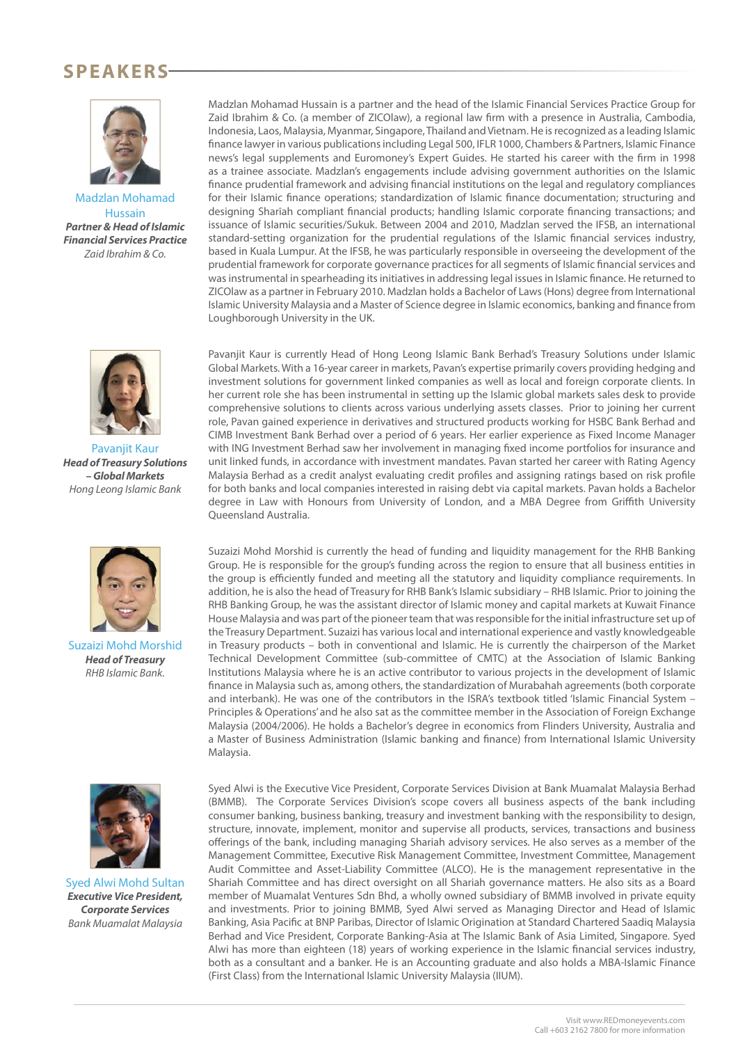#### **SPEAKERS**



Madzlan Mohamad Hussain **Partner & Head of Islamic Financial Services Practice** Zaid Ibrahim & Co.



Pavanjit Kaur **Head of Treasury Solutions – Global Markets** Hong Leong Islamic Bank



Suzaizi Mohd Morshid **Head of Treasury** RHB Islamic Bank.



Syed Alwi Mohd Sultan **Executive Vice President, Corporate Services** Bank Muamalat Malaysia

Madzlan Mohamad Hussain is a partner and the head of the Islamic Financial Services Practice Group for Zaid Ibrahim & Co. (a member of ZICOlaw), a regional law firm with a presence in Australia, Cambodia, Indonesia, Laos, Malaysia, Myanmar, Singapore, Thailand and Vietnam. He is recognized as a leading Islamic finance lawyer in various publications including Legal 500, IFLR 1000, Chambers & Partners, Islamic Finance news's legal supplements and Euromoney's Expert Guides. He started his career with the firm in 1998 as a trainee associate. Madzlan's engagements include advising government authorities on the Islamic finance prudential framework and advising financial institutions on the legal and regulatory compliances for their Islamic finance operations; standardization of Islamic finance documentation; structuring and designing Sharīah compliant financial products; handling Islamic corporate financing transactions; and issuance of Islamic securities/Sukuk. Between 2004 and 2010, Madzlan served the IFSB, an international standard-setting organization for the prudential regulations of the Islamic financial services industry, based in Kuala Lumpur. At the IFSB, he was particularly responsible in overseeing the development of the prudential framework for corporate governance practices for all segments of Islamic financial services and was instrumental in spearheading its initiatives in addressing legal issues in Islamic finance. He returned to ZICOlaw as a partner in February 2010. Madzlan holds a Bachelor of Laws (Hons) degree from International Islamic University Malaysia and a Master of Science degree in Islamic economics, banking and finance from Loughborough University in the UK.

Pavanjit Kaur is currently Head of Hong Leong Islamic Bank Berhad's Treasury Solutions under Islamic Global Markets. With a 16-year career in markets, Pavan's expertise primarily covers providing hedging and investment solutions for government linked companies as well as local and foreign corporate clients. In her current role she has been instrumental in setting up the Islamic global markets sales desk to provide comprehensive solutions to clients across various underlying assets classes. Prior to joining her current role, Pavan gained experience in derivatives and structured products working for HSBC Bank Berhad and CIMB Investment Bank Berhad over a period of 6 years. Her earlier experience as Fixed Income Manager with ING Investment Berhad saw her involvement in managing fixed income portfolios for insurance and unit linked funds, in accordance with investment mandates. Pavan started her career with Rating Agency Malaysia Berhad as a credit analyst evaluating credit profiles and assigning ratings based on risk profile for both banks and local companies interested in raising debt via capital markets. Pavan holds a Bachelor degree in Law with Honours from University of London, and a MBA Degree from Griffith University Queensland Australia.

Suzaizi Mohd Morshid is currently the head of funding and liquidity management for the RHB Banking Group. He is responsible for the group's funding across the region to ensure that all business entities in the group is efficiently funded and meeting all the statutory and liquidity compliance requirements. In addition, he is also the head of Treasury for RHB Bank's Islamic subsidiary – RHB Islamic. Prior to joining the RHB Banking Group, he was the assistant director of Islamic money and capital markets at Kuwait Finance House Malaysia and was part of the pioneer team that was responsible for the initial infrastructure set up of the Treasury Department. Suzaizi has various local and international experience and vastly knowledgeable in Treasury products – both in conventional and Islamic. He is currently the chairperson of the Market Technical Development Committee (sub-committee of CMTC) at the Association of Islamic Banking Institutions Malaysia where he is an active contributor to various projects in the development of Islamic finance in Malaysia such as, among others, the standardization of Murabahah agreements (both corporate and interbank). He was one of the contributors in the ISRA's textbook titled 'Islamic Financial System – Principles & Operations' and he also sat as the committee member in the Association of Foreign Exchange Malaysia (2004/2006). He holds a Bachelor's degree in economics from Flinders University, Australia and a Master of Business Administration (Islamic banking and finance) from International Islamic University Malaysia.

Syed Alwi is the Executive Vice President, Corporate Services Division at Bank Muamalat Malaysia Berhad (BMMB). The Corporate Services Division's scope covers all business aspects of the bank including consumer banking, business banking, treasury and investment banking with the responsibility to design, structure, innovate, implement, monitor and supervise all products, services, transactions and business offerings of the bank, including managing Shariah advisory services. He also serves as a member of the Management Committee, Executive Risk Management Committee, Investment Committee, Management Audit Committee and Asset-Liability Committee (ALCO). He is the management representative in the Shariah Committee and has direct oversight on all Shariah governance matters. He also sits as a Board member of Muamalat Ventures Sdn Bhd, a wholly owned subsidiary of BMMB involved in private equity and investments. Prior to joining BMMB, Syed Alwi served as Managing Director and Head of Islamic Banking, Asia Pacific at BNP Paribas, Director of Islamic Origination at Standard Chartered Saadiq Malaysia Berhad and Vice President, Corporate Banking-Asia at The Islamic Bank of Asia Limited, Singapore. Syed Alwi has more than eighteen (18) years of working experience in the Islamic financial services industry, both as a consultant and a banker. He is an Accounting graduate and also holds a MBA-Islamic Finance (First Class) from the International Islamic University Malaysia (IIUM).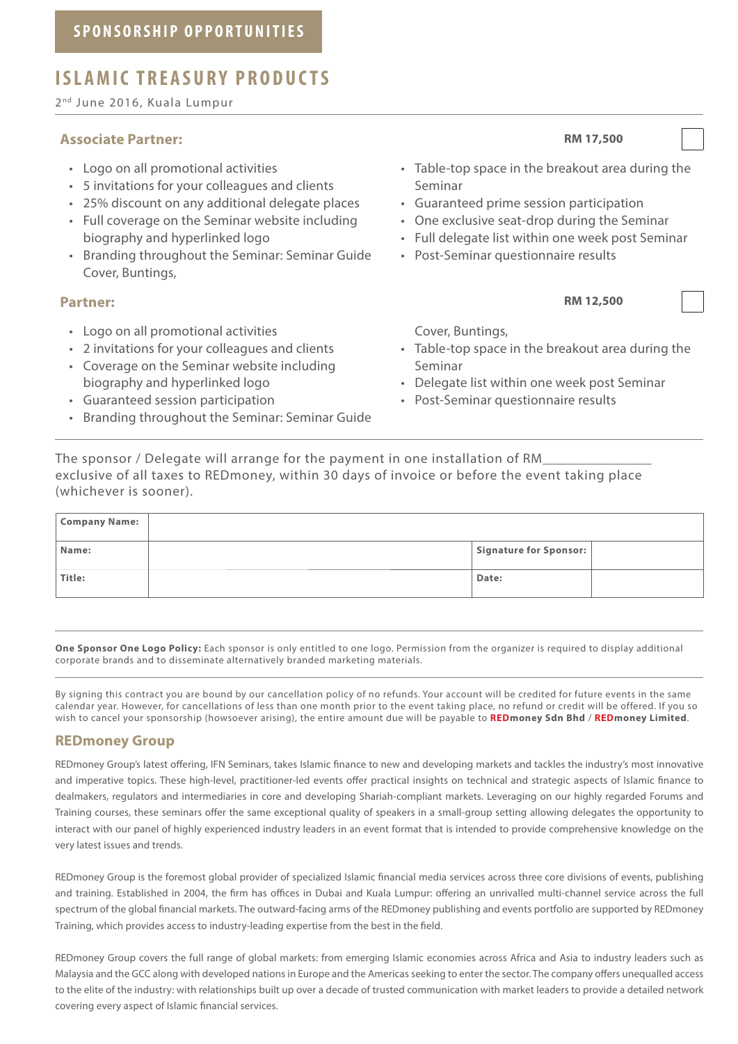#### **ISLAMIC TREASURY PRODUCTS**

2<sup>nd</sup> June 2016, Kuala Lumpur

#### **Associate Partner: RM 17,500**

- Logo on all promotional activities
- 5 invitations for your colleagues and clients
- 25% discount on any additional delegate places
- Full coverage on the Seminar website including biography and hyperlinked logo
- Branding throughout the Seminar: Seminar Guide Cover, Buntings,

- Logo on all promotional activities
- 2 invitations for your colleagues and clients
- Coverage on the Seminar website including biography and hyperlinked logo
- Guaranteed session participation
- Branding throughout the Seminar: Seminar Guide

- Table-top space in the breakout area during the Seminar
- Guaranteed prime session participation
- One exclusive seat-drop during the Seminar
- Full delegate list within one week post Seminar
- Post-Seminar questionnaire results

**Partner: RM 12,500** 

Cover, Buntings,

- Table-top space in the breakout area during the Seminar
- Delegate list within one week post Seminar
- Post-Seminar questionnaire results

The sponsor / Delegate will arrange for the payment in one installation of RM exclusive of all taxes to REDmoney, within 30 days of invoice or before the event taking place (whichever is sooner).

| <b>Company Name:</b> |                        |  |
|----------------------|------------------------|--|
| Name:                | Signature for Sponsor: |  |
| Title:               | Date:                  |  |

**One Sponsor One Logo Policy:** Each sponsor is only entitled to one logo. Permission from the organizer is required to display additional corporate brands and to disseminate alternatively branded marketing materials.

By signing this contract you are bound by our cancellation policy of no refunds. Your account will be credited for future events in the same calendar year. However, for cancellations of less than one month prior to the event taking place, no refund or credit will be offered. If you so wish to cancel your sponsorship (howsoever arising), the entire amount due will be payable to **REDmoney Sdn Bhd** / **REDmoney Limited**.

#### **REDmoney Group**

REDmoney Group's latest offering, IFN Seminars, takes Islamic finance to new and developing markets and tackles the industry's most innovative and imperative topics. These high-level, practitioner-led events offer practical insights on technical and strategic aspects of Islamic finance to dealmakers, regulators and intermediaries in core and developing Shariah-compliant markets. Leveraging on our highly regarded Forums and Training courses, these seminars offer the same exceptional quality of speakers in a small-group setting allowing delegates the opportunity to interact with our panel of highly experienced industry leaders in an event format that is intended to provide comprehensive knowledge on the very latest issues and trends.

REDmoney Group is the foremost global provider of specialized Islamic financial media services across three core divisions of events, publishing and training. Established in 2004, the firm has offices in Dubai and Kuala Lumpur: offering an unrivalled multi-channel service across the full spectrum of the global financial markets. The outward-facing arms of the REDmoney publishing and events portfolio are supported by REDmoney Training, which provides access to industry-leading expertise from the best in the field.

REDmoney Group covers the full range of global markets: from emerging Islamic economies across Africa and Asia to industry leaders such as Malaysia and the GCC along with developed nations in Europe and the Americas seeking to enter the sector. The company offers unequalled access to the elite of the industry: with relationships built up over a decade of trusted communication with market leaders to provide a detailed network covering every aspect of Islamic financial services.